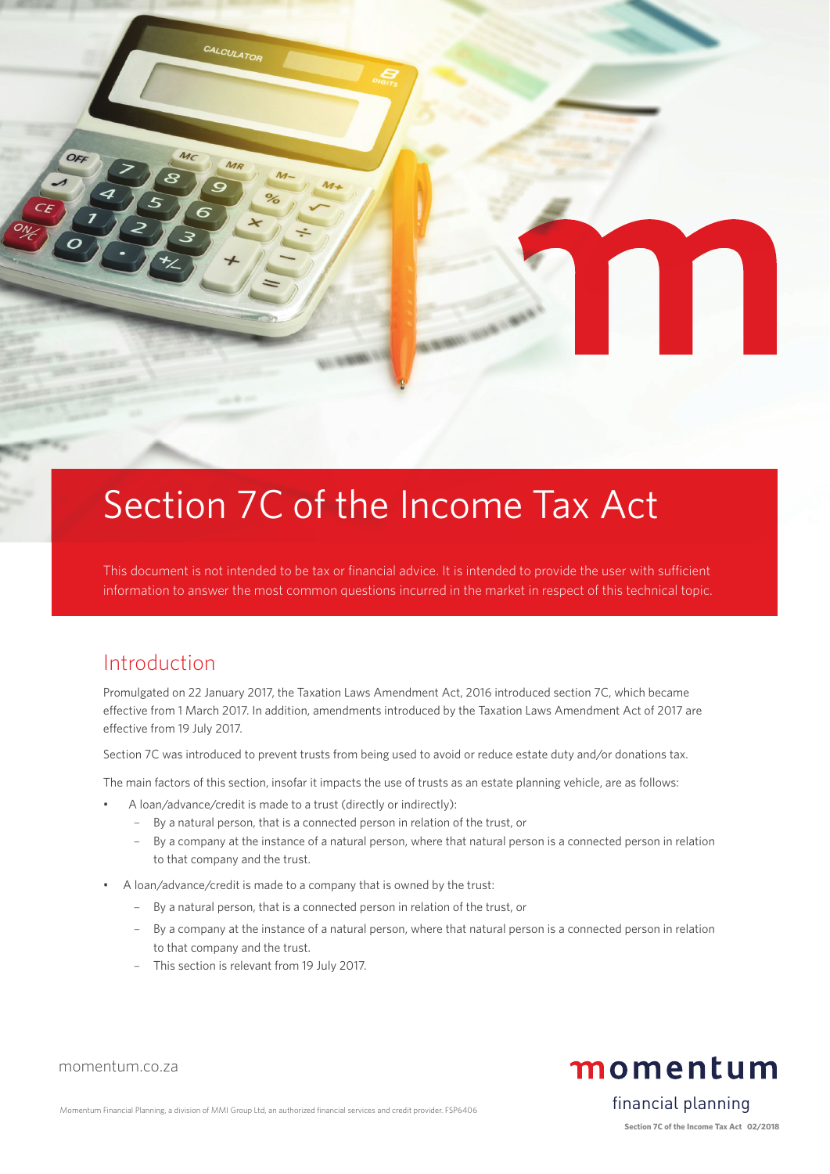

# Section 7C of the Income Tax Act

This document is not intended to be tax or financial advice. It is intended to provide the user with sufficient information to answer the most common questions incurred in the market in respect of this technical topic.

## Introduction

momentum.co.za

Promulgated on 22 January 2017, the Taxation Laws Amendment Act, 2016 introduced section 7C, which became effective from 1 March 2017. In addition, amendments introduced by the Taxation Laws Amendment Act of 2017 are effective from 19 July 2017.

Section 7C was introduced to prevent trusts from being used to avoid or reduce estate duty and/or donations tax.

The main factors of this section, insofar it impacts the use of trusts as an estate planning vehicle, are as follows:

- A loan/advance/credit is made to a trust (directly or indirectly):
	- By a natural person, that is a connected person in relation of the trust, or
	- By a company at the instance of a natural person, where that natural person is a connected person in relation to that company and the trust.
- A loan/advance/credit is made to a company that is owned by the trust:
	- By a natural person, that is a connected person in relation of the trust, or
	- By a company at the instance of a natural person, where that natural person is a connected person in relation to that company and the trust.
	- This section is relevant from 19 July 2017.

momentum

financial planning

Momentum Financial Planning, a division of MMI Group Ltd, an authorized financial services and credit provider. FSP6406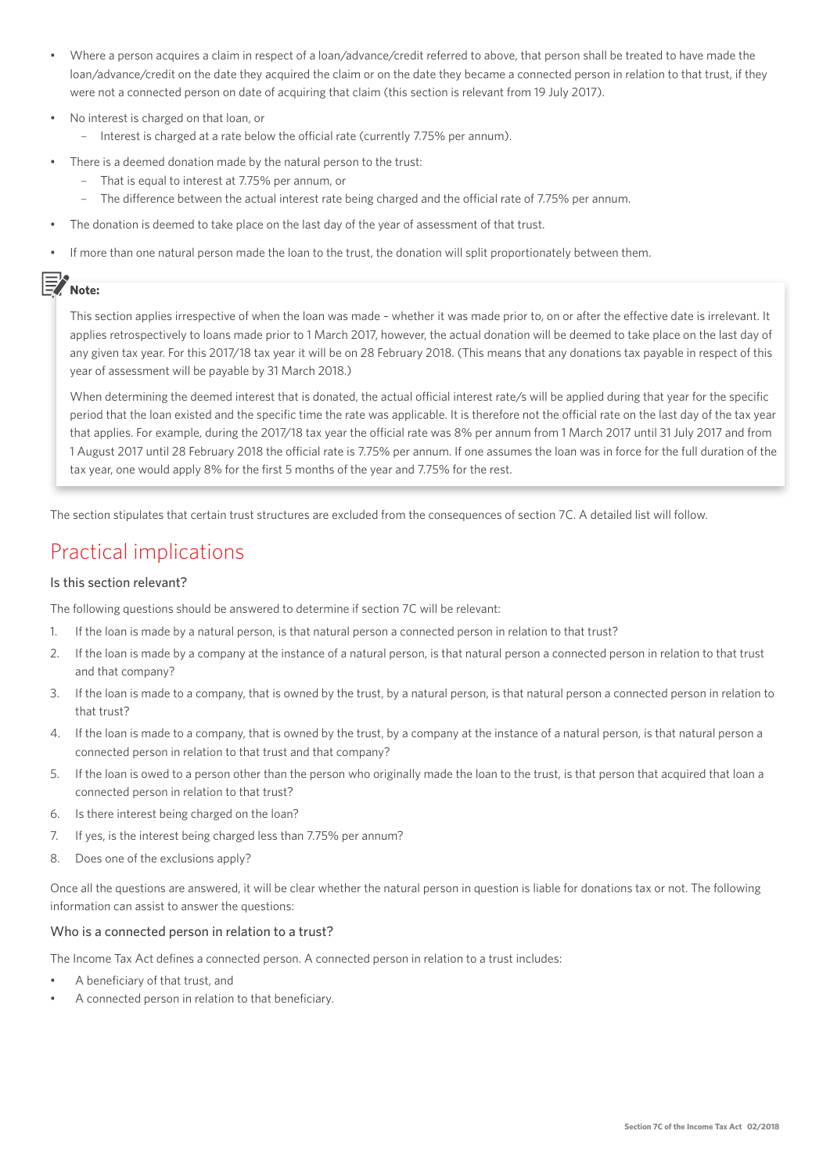- Where a person acquires a claim in respect of a loan/advance/credit referred to above, that person shall be treated to have made the loan/advance/credit on the date they acquired the claim or on the date they became a connected person in relation to that trust, if they were not a connected person on date of acquiring that claim (this section is relevant from 19 July 2017).
- No interest is charged on that loan, or
	- Interest is charged at a rate below the official rate (currently 7.75% per annum).
- There is a deemed donation made by the natural person to the trust:
	- That is equal to interest at 7.75% per annum, or
	- The difference between the actual interest rate being charged and the official rate of 7.75% per annum.
- The donation is deemed to take place on the last day of the year of assessment of that trust.
- If more than one natural person made the loan to the trust, the donation will split proportionately between them.

## **Note:**

This section applies irrespective of when the loan was made – whether it was made prior to, on or after the effective date is irrelevant. It applies retrospectively to loans made prior to 1 March 2017, however, the actual donation will be deemed to take place on the last day of any given tax year. For this 2017/18 tax year it will be on 28 February 2018. (This means that any donations tax payable in respect of this year of assessment will be payable by 31 March 2018.)

When determining the deemed interest that is donated, the actual official interest rate/s will be applied during that year for the specific period that the loan existed and the specific time the rate was applicable. It is therefore not the official rate on the last day of the tax year that applies. For example, during the 2017/18 tax year the official rate was 8% per annum from 1 March 2017 until 31 July 2017 and from 1 August 2017 until 28 February 2018 the official rate is 7.75% per annum. If one assumes the loan was in force for the full duration of the tax year, one would apply 8% for the first 5 months of the year and 7.75% for the rest.

The section stipulates that certain trust structures are excluded from the consequences of section 7C. A detailed list will follow.

# Practical implications

## Is this section relevant?

The following questions should be answered to determine if section 7C will be relevant:

- 1. If the loan is made by a natural person, is that natural person a connected person in relation to that trust?
- 2. If the loan is made by a company at the instance of a natural person, is that natural person a connected person in relation to that trust and that company?
- 3. If the loan is made to a company, that is owned by the trust, by a natural person, is that natural person a connected person in relation to that trust?
- 4. If the loan is made to a company, that is owned by the trust, by a company at the instance of a natural person, is that natural person a connected person in relation to that trust and that company?
- 5. If the loan is owed to a person other than the person who originally made the loan to the trust, is that person that acquired that loan a connected person in relation to that trust?
- 6. Is there interest being charged on the loan?
- 7. If yes, is the interest being charged less than 7.75% per annum?
- 8. Does one of the exclusions apply?

Once all the questions are answered, it will be clear whether the natural person in question is liable for donations tax or not. The following information can assist to answer the questions:

## Who is a connected person in relation to a trust?

The Income Tax Act defines a connected person. A connected person in relation to a trust includes:

- A beneficiary of that trust, and
- A connected person in relation to that beneficiary.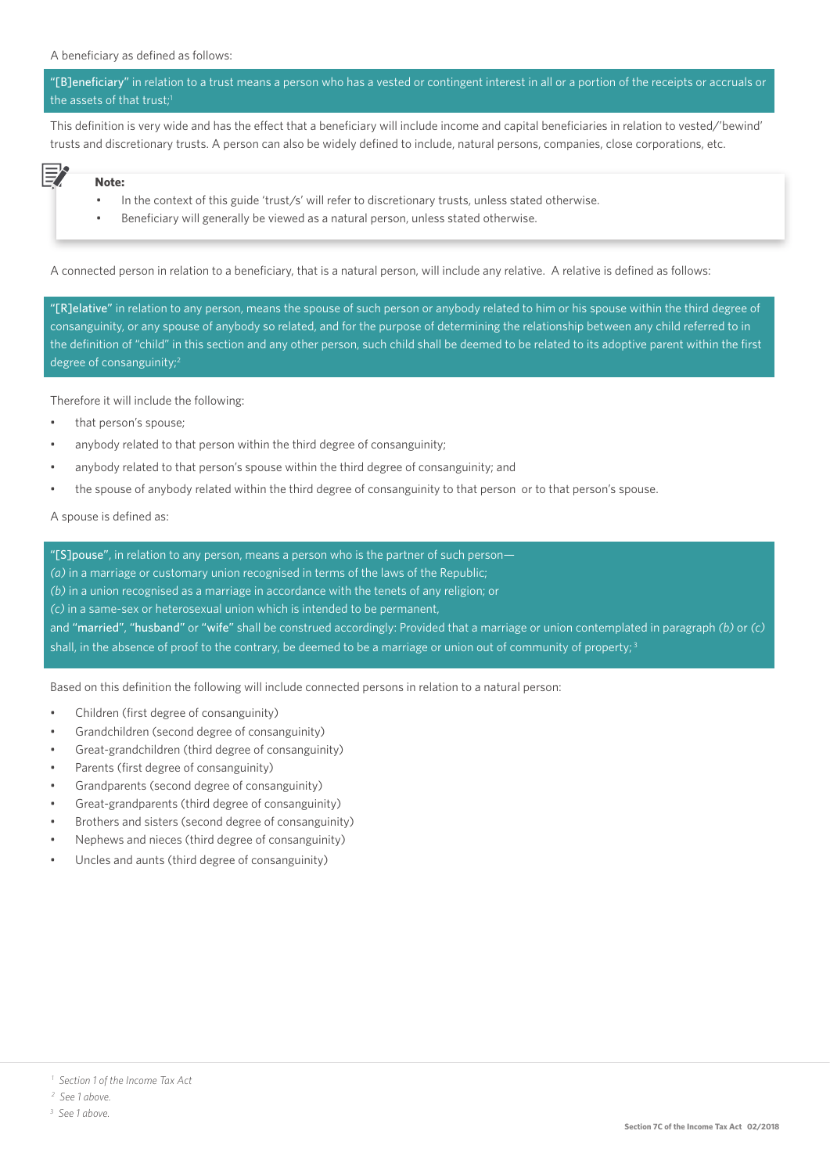"[B]eneficiary" in relation to a trust means a person who has a vested or contingent interest in all or a portion of the receipts or accruals or the assets of that trust;<sup>1</sup>

This definition is very wide and has the effect that a beneficiary will include income and capital beneficiaries in relation to vested/'bewind' trusts and discretionary trusts. A person can also be widely defined to include, natural persons, companies, close corporations, etc.

## **Note:**

罗

- In the context of this guide 'trust/s' will refer to discretionary trusts, unless stated otherwise.
- Beneficiary will generally be viewed as a natural person, unless stated otherwise.

A connected person in relation to a beneficiary, that is a natural person, will include any relative. A relative is defined as follows:

"[R]elative" in relation to any person, means the spouse of such person or anybody related to him or his spouse within the third degree of consanguinity, or any spouse of anybody so related, and for the purpose of determining the relationship between any child referred to in the definition of "child" in this section and any other person, such child shall be deemed to be related to its adoptive parent within the first degree of consanguinity;2

Therefore it will include the following:

- that person's spouse;
- anybody related to that person within the third degree of consanguinity;
- anybody related to that person's spouse within the third degree of consanguinity; and
- the spouse of anybody related within the third degree of consanguinity to that person or to that person's spouse.

A spouse is defined as:

"[S]pouse", in relation to any person, means a person who is the partner of such person— *(a)* in a marriage or customary union recognised in terms of the laws of the Republic; *(b)* in a union recognised as a marriage in accordance with the tenets of any religion; or *(c)* in a same-sex or heterosexual union which is intended to be permanent, and "married", "husband" or "wife" shall be construed accordingly: Provided that a marriage or union contemplated in paragraph *(b)* or *(c)* shall, in the absence of proof to the contrary, be deemed to be a marriage or union out of community of property;<sup>3</sup>

Based on this definition the following will include connected persons in relation to a natural person:

- Children (first degree of consanguinity)
- Grandchildren (second degree of consanguinity)
- Great-grandchildren (third degree of consanguinity)
- Parents (first degree of consanguinity)
- Grandparents (second degree of consanguinity)
- Great-grandparents (third degree of consanguinity)
- Brothers and sisters (second degree of consanguinity)
- Nephews and nieces (third degree of consanguinity)
- Uncles and aunts (third degree of consanguinity)

 *<sup>1</sup> Section 1 of the Income Tax Act*

 *<sup>2</sup> See 1 above.*

*<sup>3</sup> See 1 above.*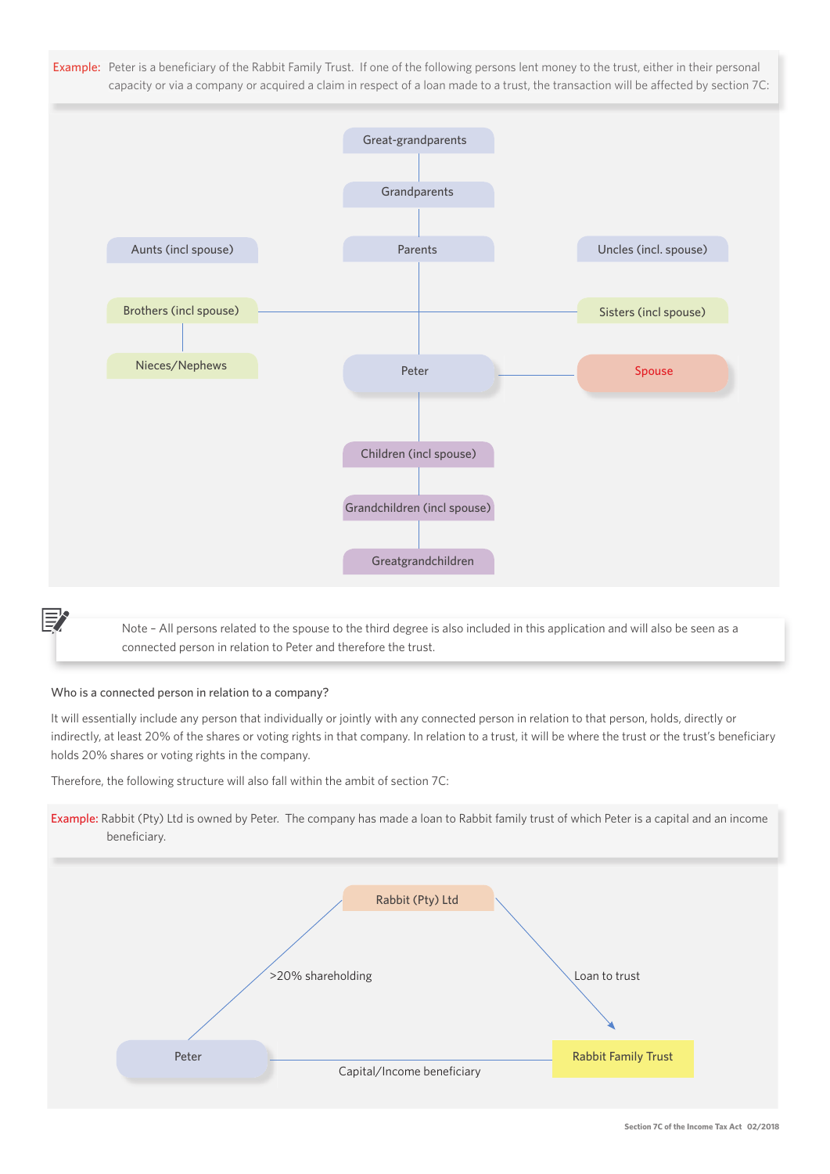Example: Peter is a beneficiary of the Rabbit Family Trust. If one of the following persons lent money to the trust, either in their personal capacity or via a company or acquired a claim in respect of a loan made to a trust, the transaction will be affected by section 7C:



 Note – All persons related to the spouse to the third degree is also included in this application and will also be seen as a connected person in relation to Peter and therefore the trust.

## Who is a connected person in relation to a company?

It will essentially include any person that individually or jointly with any connected person in relation to that person, holds, directly or indirectly, at least 20% of the shares or voting rights in that company. In relation to a trust, it will be where the trust or the trust's beneficiary holds 20% shares or voting rights in the company.

Therefore, the following structure will also fall within the ambit of section 7C:



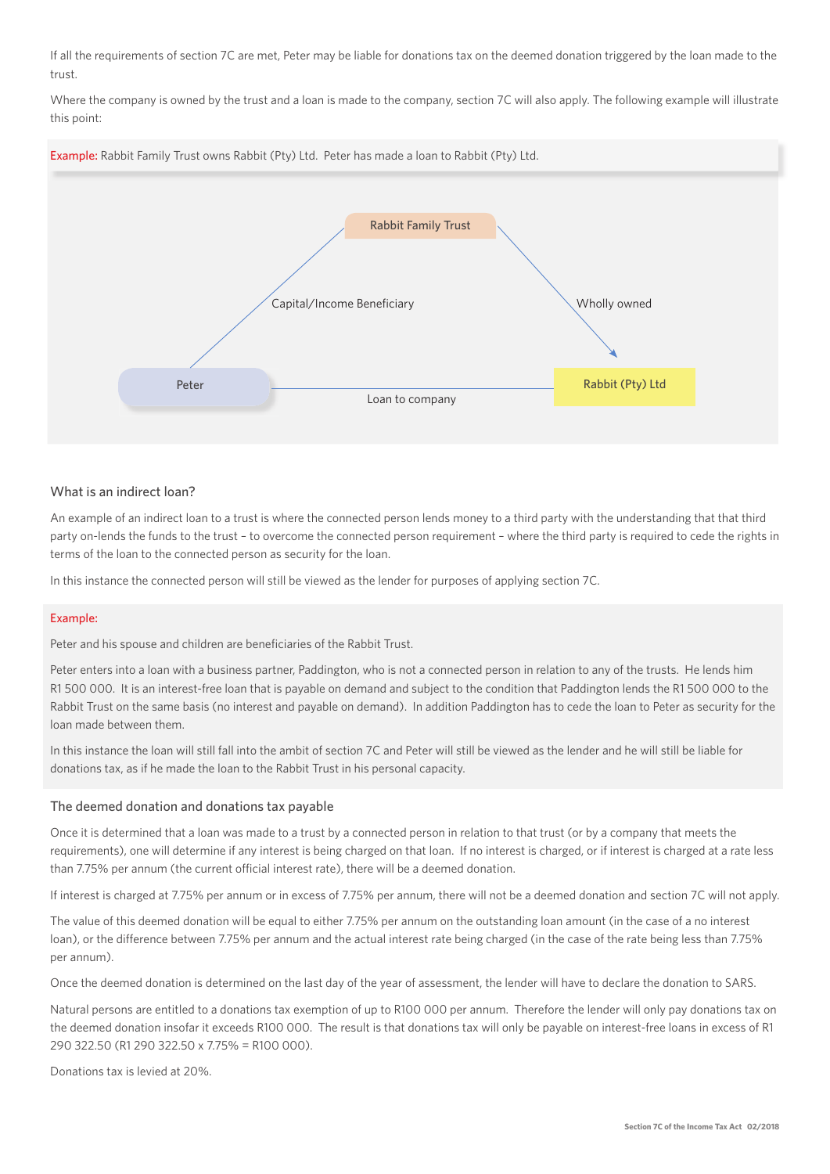If all the requirements of section 7C are met, Peter may be liable for donations tax on the deemed donation triggered by the loan made to the trust.

Where the company is owned by the trust and a loan is made to the company, section 7C will also apply. The following example will illustrate this point:



## What is an indirect loan?

An example of an indirect loan to a trust is where the connected person lends money to a third party with the understanding that that third party on-lends the funds to the trust – to overcome the connected person requirement – where the third party is required to cede the rights in terms of the loan to the connected person as security for the loan.

In this instance the connected person will still be viewed as the lender for purposes of applying section 7C.

#### Example:

Peter and his spouse and children are beneficiaries of the Rabbit Trust.

Peter enters into a loan with a business partner, Paddington, who is not a connected person in relation to any of the trusts. He lends him R1 500 000. It is an interest-free loan that is payable on demand and subject to the condition that Paddington lends the R1 500 000 to the Rabbit Trust on the same basis (no interest and payable on demand). In addition Paddington has to cede the loan to Peter as security for the loan made between them.

In this instance the loan will still fall into the ambit of section 7C and Peter will still be viewed as the lender and he will still be liable for donations tax, as if he made the loan to the Rabbit Trust in his personal capacity.

#### The deemed donation and donations tax payable

Once it is determined that a loan was made to a trust by a connected person in relation to that trust (or by a company that meets the requirements), one will determine if any interest is being charged on that loan. If no interest is charged, or if interest is charged at a rate less than 7.75% per annum (the current official interest rate), there will be a deemed donation.

If interest is charged at 7.75% per annum or in excess of 7.75% per annum, there will not be a deemed donation and section 7C will not apply.

The value of this deemed donation will be equal to either 7.75% per annum on the outstanding loan amount (in the case of a no interest loan), or the difference between 7.75% per annum and the actual interest rate being charged (in the case of the rate being less than 7.75% per annum).

Once the deemed donation is determined on the last day of the year of assessment, the lender will have to declare the donation to SARS.

Natural persons are entitled to a donations tax exemption of up to R100 000 per annum. Therefore the lender will only pay donations tax on the deemed donation insofar it exceeds R100 000. The result is that donations tax will only be payable on interest-free loans in excess of R1 290 322.50 (R1 290 322.50 x 7.75% = R100 000).

Donations tax is levied at 20%.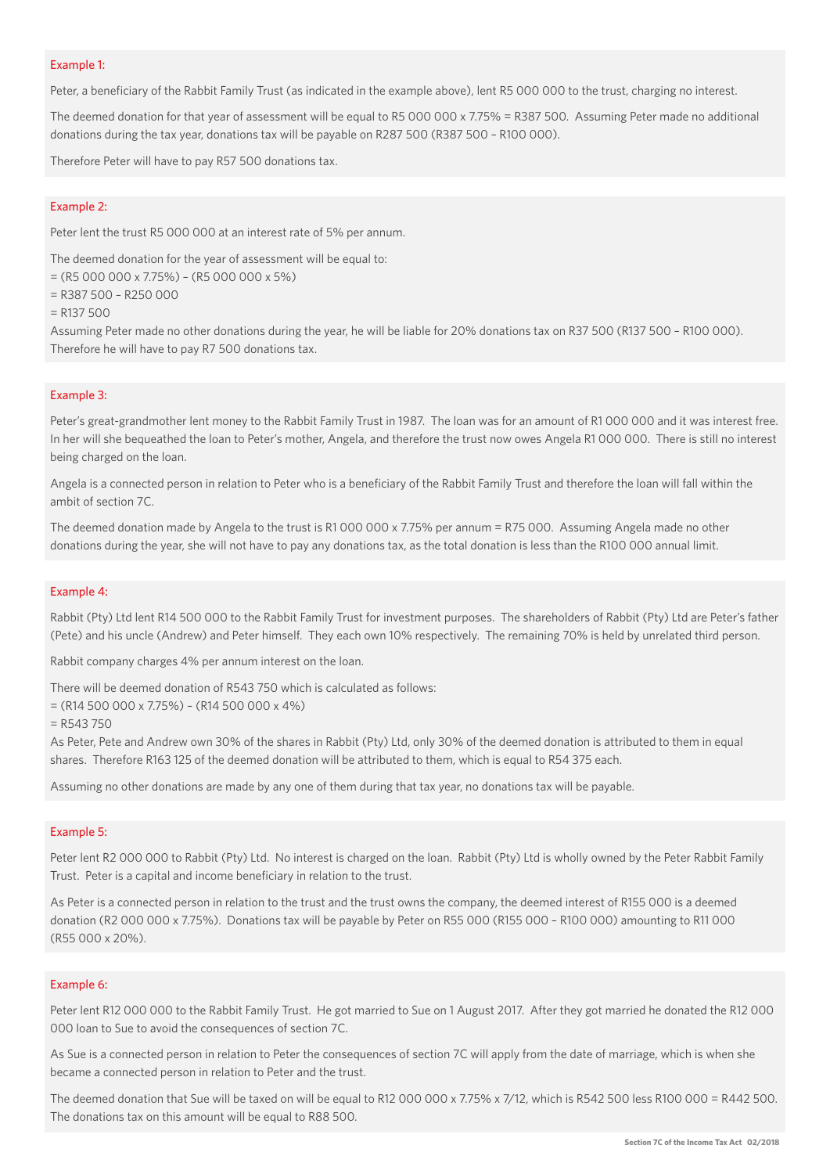#### Example 1:

Peter, a beneficiary of the Rabbit Family Trust (as indicated in the example above), lent R5 000 000 to the trust, charging no interest.

The deemed donation for that year of assessment will be equal to R5 000 000 x 7.75% = R387 500. Assuming Peter made no additional donations during the tax year, donations tax will be payable on R287 500 (R387 500 – R100 000).

Therefore Peter will have to pay R57 500 donations tax.

#### Example 2:

Peter lent the trust R5 000 000 at an interest rate of 5% per annum.

The deemed donation for the year of assessment will be equal to:

= (R5 000 000 x 7.75%) – (R5 000 000 x 5%)

= R387 500 – R250 000

= R137 500

Assuming Peter made no other donations during the year, he will be liable for 20% donations tax on R37 500 (R137 500 – R100 000). Therefore he will have to pay R7 500 donations tax.

#### Example 3:

Peter's great-grandmother lent money to the Rabbit Family Trust in 1987. The loan was for an amount of R1 000 000 and it was interest free. In her will she bequeathed the loan to Peter's mother, Angela, and therefore the trust now owes Angela R1 000 000. There is still no interest being charged on the loan.

Angela is a connected person in relation to Peter who is a beneficiary of the Rabbit Family Trust and therefore the loan will fall within the ambit of section 7C.

The deemed donation made by Angela to the trust is R1 000 000 x 7.75% per annum = R75 000. Assuming Angela made no other donations during the year, she will not have to pay any donations tax, as the total donation is less than the R100 000 annual limit.

#### Example 4:

Rabbit (Pty) Ltd lent R14 500 000 to the Rabbit Family Trust for investment purposes. The shareholders of Rabbit (Pty) Ltd are Peter's father (Pete) and his uncle (Andrew) and Peter himself. They each own 10% respectively. The remaining 70% is held by unrelated third person.

Rabbit company charges 4% per annum interest on the loan.

There will be deemed donation of R543 750 which is calculated as follows:

 $=(R14500000 \times 7.75\%) - (R14500000 \times 4\%)$ 

 $=$  R543 750

As Peter, Pete and Andrew own 30% of the shares in Rabbit (Pty) Ltd, only 30% of the deemed donation is attributed to them in equal shares. Therefore R163 125 of the deemed donation will be attributed to them, which is equal to R54 375 each.

Assuming no other donations are made by any one of them during that tax year, no donations tax will be payable.

#### Example 5:

Peter lent R2 000 000 to Rabbit (Pty) Ltd. No interest is charged on the loan. Rabbit (Pty) Ltd is wholly owned by the Peter Rabbit Family Trust. Peter is a capital and income beneficiary in relation to the trust.

As Peter is a connected person in relation to the trust and the trust owns the company, the deemed interest of R155 000 is a deemed donation (R2 000 000 x 7.75%). Donations tax will be payable by Peter on R55 000 (R155 000 - R100 000) amounting to R11 000 (R55 000 x 20%).

#### Example 6:

Peter lent R12 000 000 to the Rabbit Family Trust. He got married to Sue on 1 August 2017. After they got married he donated the R12 000 000 loan to Sue to avoid the consequences of section 7C.

As Sue is a connected person in relation to Peter the consequences of section 7C will apply from the date of marriage, which is when she became a connected person in relation to Peter and the trust.

The deemed donation that Sue will be taxed on will be equal to R12 000 000 x 7.75% x 7/12, which is R542 500 less R100 000 = R442 500. The donations tax on this amount will be equal to R88 500.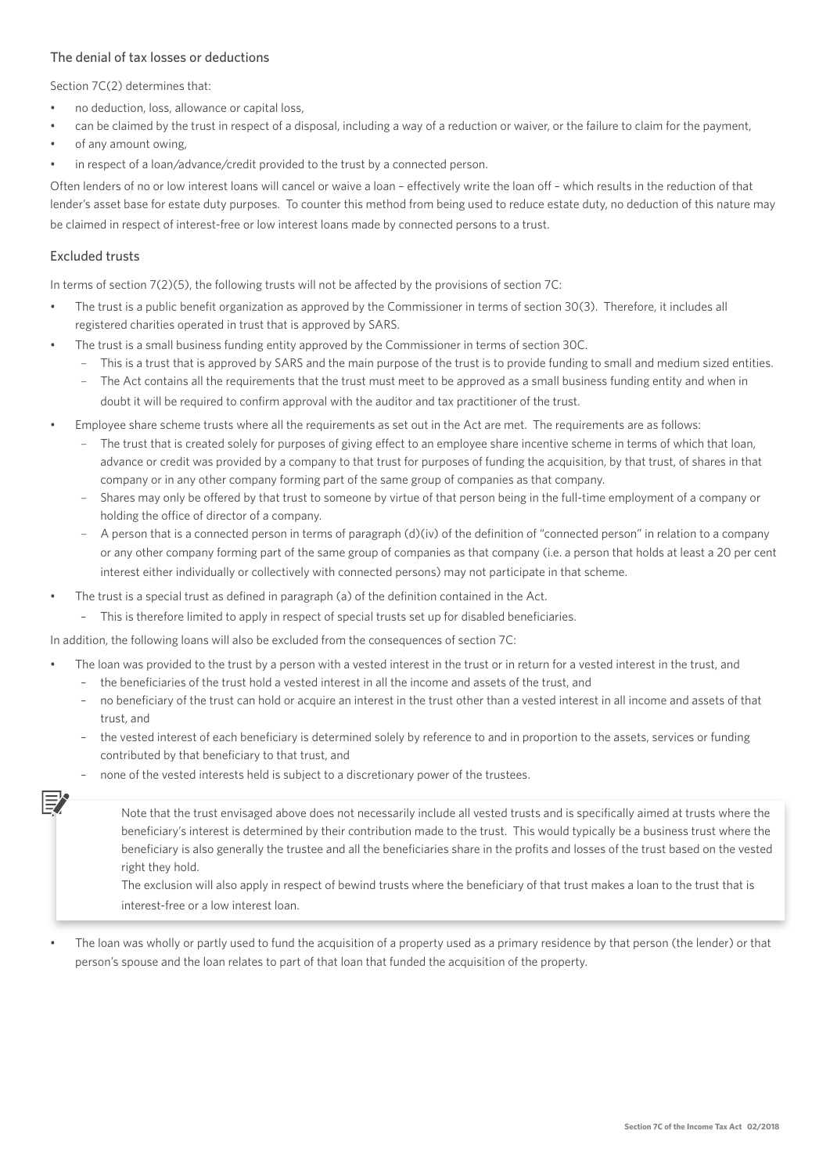## The denial of tax losses or deductions

Section 7C(2) determines that

- no deduction, loss, allowance or capital loss,
- can be claimed by the trust in respect of a disposal, including a way of a reduction or waiver, or the failure to claim for the payment,
- of any amount owing,
- in respect of a loan/advance/credit provided to the trust by a connected person.

Often lenders of no or low interest loans will cancel or waive a loan – effectively write the loan off – which results in the reduction of that lender's asset base for estate duty purposes. To counter this method from being used to reduce estate duty, no deduction of this nature may be claimed in respect of interest-free or low interest loans made by connected persons to a trust.

## Excluded trusts

In terms of section 7(2)(5), the following trusts will not be affected by the provisions of section 7C:

- The trust is a public benefit organization as approved by the Commissioner in terms of section 30(3). Therefore, it includes all registered charities operated in trust that is approved by SARS.
- The trust is a small business funding entity approved by the Commissioner in terms of section 30C.
	- This is a trust that is approved by SARS and the main purpose of the trust is to provide funding to small and medium sized entities.
	- The Act contains all the requirements that the trust must meet to be approved as a small business funding entity and when in doubt it will be required to confirm approval with the auditor and tax practitioner of the trust.
- Employee share scheme trusts where all the requirements as set out in the Act are met. The requirements are as follows:
	- The trust that is created solely for purposes of giving effect to an employee share incentive scheme in terms of which that loan, advance or credit was provided by a company to that trust for purposes of funding the acquisition, by that trust, of shares in that company or in any other company forming part of the same group of companies as that company.
	- Shares may only be offered by that trust to someone by virtue of that person being in the full-time employment of a company or holding the office of director of a company.
	- A person that is a connected person in terms of paragraph (d)(iv) of the definition of "connected person" in relation to a company or any other company forming part of the same group of companies as that company (i.e. a person that holds at least a 20 per cent interest either individually or collectively with connected persons) may not participate in that scheme.
- The trust is a special trust as defined in paragraph (a) of the definition contained in the Act.
	- This is therefore limited to apply in respect of special trusts set up for disabled beneficiaries.

In addition, the following loans will also be excluded from the consequences of section 7C:

- The loan was provided to the trust by a person with a vested interest in the trust or in return for a vested interest in the trust, and – the beneficiaries of the trust hold a vested interest in all the income and assets of the trust, and
	- no beneficiary of the trust can hold or acquire an interest in the trust other than a vested interest in all income and assets of that trust, and
	- the vested interest of each beneficiary is determined solely by reference to and in proportion to the assets, services or funding contributed by that beneficiary to that trust, and
	- none of the vested interests held is subject to a discretionary power of the trustees.
		- Note that the trust envisaged above does not necessarily include all vested trusts and is specifically aimed at trusts where the beneficiary's interest is determined by their contribution made to the trust. This would typically be a business trust where the beneficiary is also generally the trustee and all the beneficiaries share in the profits and losses of the trust based on the vested right they hold.

 The exclusion will also apply in respect of bewind trusts where the beneficiary of that trust makes a loan to the trust that is interest-free or a low interest loan.

The loan was wholly or partly used to fund the acquisition of a property used as a primary residence by that person (the lender) or that person's spouse and the loan relates to part of that loan that funded the acquisition of the property.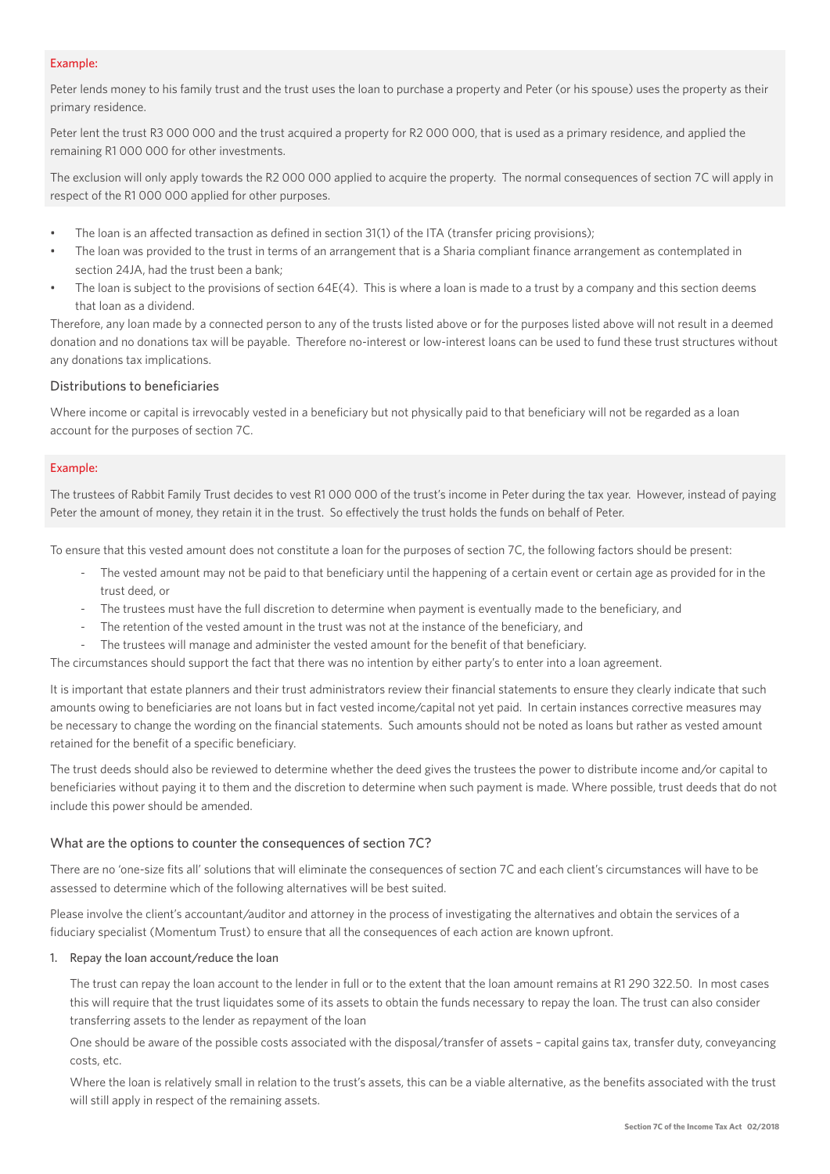#### Example:

Peter lends money to his family trust and the trust uses the loan to purchase a property and Peter (or his spouse) uses the property as their primary residence.

Peter lent the trust R3 000 000 and the trust acquired a property for R2 000 000, that is used as a primary residence, and applied the remaining R1 000 000 for other investments.

The exclusion will only apply towards the R2 000 000 applied to acquire the property. The normal consequences of section 7C will apply in respect of the R1 000 000 applied for other purposes.

- The loan is an affected transaction as defined in section 31(1) of the ITA (transfer pricing provisions);
- The loan was provided to the trust in terms of an arrangement that is a Sharia compliant finance arrangement as contemplated in section 24JA, had the trust been a bank;
- The loan is subject to the provisions of section 64E(4). This is where a loan is made to a trust by a company and this section deems that loan as a dividend.

Therefore, any loan made by a connected person to any of the trusts listed above or for the purposes listed above will not result in a deemed donation and no donations tax will be payable. Therefore no-interest or low-interest loans can be used to fund these trust structures without any donations tax implications.

## Distributions to beneficiaries

Where income or capital is irrevocably vested in a beneficiary but not physically paid to that beneficiary will not be regarded as a loan account for the purposes of section 7C.

#### Example:

The trustees of Rabbit Family Trust decides to vest R1 000 000 of the trust's income in Peter during the tax year. However, instead of paying Peter the amount of money, they retain it in the trust. So effectively the trust holds the funds on behalf of Peter.

To ensure that this vested amount does not constitute a loan for the purposes of section 7C, the following factors should be present:

- The vested amount may not be paid to that beneficiary until the happening of a certain event or certain age as provided for in the trust deed, or
- The trustees must have the full discretion to determine when payment is eventually made to the beneficiary, and
- The retention of the vested amount in the trust was not at the instance of the beneficiary, and
- The trustees will manage and administer the vested amount for the benefit of that beneficiary.

The circumstances should support the fact that there was no intention by either party's to enter into a loan agreement.

It is important that estate planners and their trust administrators review their financial statements to ensure they clearly indicate that such amounts owing to beneficiaries are not loans but in fact vested income/capital not yet paid. In certain instances corrective measures may be necessary to change the wording on the financial statements. Such amounts should not be noted as loans but rather as vested amount retained for the benefit of a specific beneficiary.

The trust deeds should also be reviewed to determine whether the deed gives the trustees the power to distribute income and/or capital to beneficiaries without paying it to them and the discretion to determine when such payment is made. Where possible, trust deeds that do not include this power should be amended.

## What are the options to counter the consequences of section 7C?

There are no 'one-size fits all' solutions that will eliminate the consequences of section 7C and each client's circumstances will have to be assessed to determine which of the following alternatives will be best suited.

Please involve the client's accountant/auditor and attorney in the process of investigating the alternatives and obtain the services of a fiduciary specialist (Momentum Trust) to ensure that all the consequences of each action are known upfront.

#### 1. Repay the loan account/reduce the loan

 The trust can repay the loan account to the lender in full or to the extent that the loan amount remains at R1 290 322.50. In most cases this will require that the trust liquidates some of its assets to obtain the funds necessary to repay the loan. The trust can also consider transferring assets to the lender as repayment of the loan

 One should be aware of the possible costs associated with the disposal/transfer of assets – capital gains tax, transfer duty, conveyancing costs, etc.

 Where the loan is relatively small in relation to the trust's assets, this can be a viable alternative, as the benefits associated with the trust will still apply in respect of the remaining assets.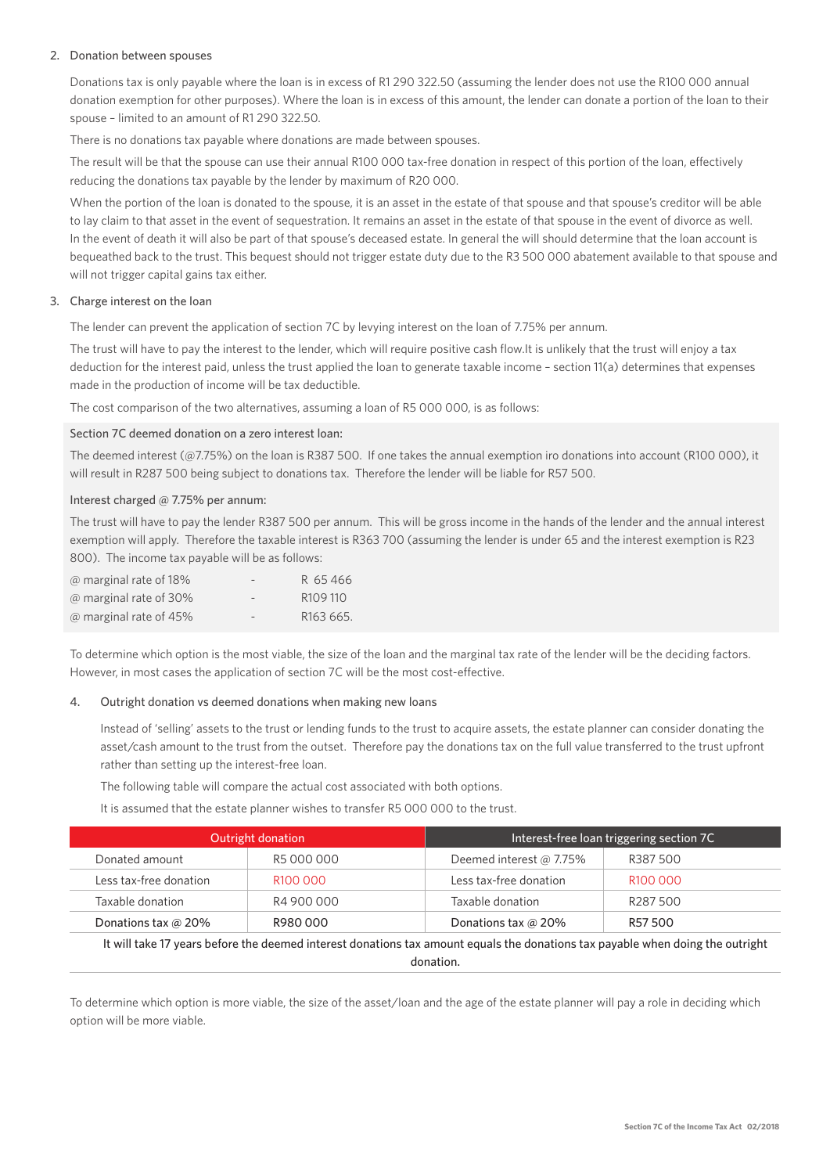## 2. Donation between spouses

 Donations tax is only payable where the loan is in excess of R1 290 322.50 (assuming the lender does not use the R100 000 annual donation exemption for other purposes). Where the loan is in excess of this amount, the lender can donate a portion of the loan to their spouse – limited to an amount of R1 290 322.50.

There is no donations tax payable where donations are made between spouses.

 The result will be that the spouse can use their annual R100 000 tax-free donation in respect of this portion of the loan, effectively reducing the donations tax payable by the lender by maximum of R20 000.

When the portion of the loan is donated to the spouse, it is an asset in the estate of that spouse and that spouse's creditor will be able to lay claim to that asset in the event of sequestration. It remains an asset in the estate of that spouse in the event of divorce as well. In the event of death it will also be part of that spouse's deceased estate. In general the will should determine that the loan account is bequeathed back to the trust. This bequest should not trigger estate duty due to the R3 500 000 abatement available to that spouse and will not trigger capital gains tax either.

## 3. Charge interest on the loan

The lender can prevent the application of section 7C by levying interest on the loan of 7.75% per annum.

 The trust will have to pay the interest to the lender, which will require positive cash flow.It is unlikely that the trust will enjoy a tax deduction for the interest paid, unless the trust applied the loan to generate taxable income – section 11(a) determines that expenses made in the production of income will be tax deductible.

The cost comparison of the two alternatives, assuming a loan of R5 000 000, is as follows:

Section 7C deemed donation on a zero interest loan:

 The deemed interest (@7.75%) on the loan is R387 500. If one takes the annual exemption iro donations into account (R100 000), it will result in R287 500 being subject to donations tax. Therefore the lender will be liable for R57 500.

## Interest charged @ 7.75% per annum:

 The trust will have to pay the lender R387 500 per annum. This will be gross income in the hands of the lender and the annual interest exemption will apply. Therefore the taxable interest is R363 700 (assuming the lender is under 65 and the interest exemption is R23 800). The income tax payable will be as follows:

| @ marginal rate of 18% | $\overline{\phantom{a}}$ | R 65466               |
|------------------------|--------------------------|-----------------------|
| @ marginal rate of 30% | $\overline{\phantom{a}}$ | R <sub>109</sub> 110  |
| @ marginal rate of 45% | $\overline{\phantom{a}}$ | R <sub>163</sub> 665. |

 To determine which option is the most viable, the size of the loan and the marginal tax rate of the lender will be the deciding factors. However, in most cases the application of section 7C will be the most cost-effective.

#### 4. Outright donation vs deemed donations when making new loans

 Instead of 'selling' assets to the trust or lending funds to the trust to acquire assets, the estate planner can consider donating the asset/cash amount to the trust from the outset. Therefore pay the donations tax on the full value transferred to the trust upfront rather than setting up the interest-free loan.

The following table will compare the actual cost associated with both options.

It is assumed that the estate planner wishes to transfer R5 000 000 to the trust.

| Outright donation                                                                                                                |                      | Interest-free loan triggering section 7C |                      |  |
|----------------------------------------------------------------------------------------------------------------------------------|----------------------|------------------------------------------|----------------------|--|
| Donated amount                                                                                                                   | R5 000 000           | Deemed interest @ 7.75%                  | R387500              |  |
| Less tax-free donation                                                                                                           | R <sub>100</sub> 000 | Less tax-free donation                   | R <sub>100</sub> 000 |  |
| Taxable donation                                                                                                                 | R4 900 000           | Taxable donation                         | R <sub>287</sub> 500 |  |
| Donations tax @ 20%                                                                                                              | R980000              | Donations tax @ 20%                      | R57 500              |  |
| traditions 47 agos to fourth other attained the origin received and control of the development of the detection of the constalla |                      |                                          |                      |  |

It will take 17 years before the deemed interest donations tax amount equals the donations tax payable when doing the outright donation.

 To determine which option is more viable, the size of the asset/loan and the age of the estate planner will pay a role in deciding which option will be more viable.